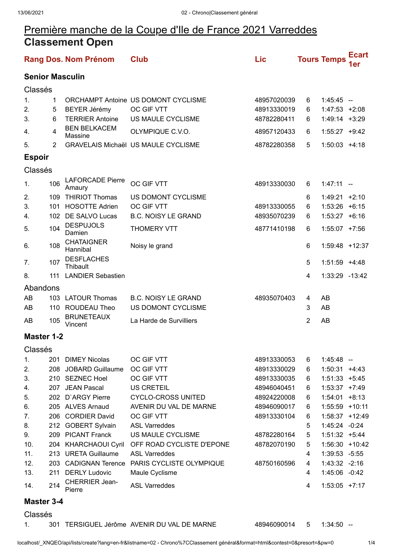## Première manche de la Coupe d'Ile de France 2021 Varreddes **Classement Open**

|                        |     | <b>Rang Dos. Nom Prénom</b>       | <b>Club</b>                                   | Lic         |   | <b>Tours Temps</b> | <b>Ecart</b><br>1er |  |
|------------------------|-----|-----------------------------------|-----------------------------------------------|-------------|---|--------------------|---------------------|--|
| <b>Senior Masculin</b> |     |                                   |                                               |             |   |                    |                     |  |
| Classés                |     |                                   |                                               |             |   |                    |                     |  |
| 1.                     | 1   |                                   | ORCHAMPT Antoine US DOMONT CYCLISME           | 48957020039 | 6 | $1:45:45$ -        |                     |  |
| 2.                     | 5   | <b>BEYER Jérémy</b>               | OC GIF VTT                                    | 48913330019 | 6 | $1:47:53$ +2:08    |                     |  |
| 3.                     | 6   | <b>TERRIER Antoine</b>            | US MAULE CYCLISME                             | 48782280411 | 6 | $1:49:14 + 3:29$   |                     |  |
| 4.                     | 4   | <b>BEN BELKACEM</b><br>Massine    | OLYMPIQUE C.V.O.                              | 48957120433 | 6 | $1:55:27$ +9:42    |                     |  |
| 5.                     | 2   |                                   | <b>GRAVELAIS Michaël US MAULE CYCLISME</b>    | 48782280358 | 5 | $1:50:03$ +4:18    |                     |  |
| <b>Espoir</b>          |     |                                   |                                               |             |   |                    |                     |  |
| Classés                |     |                                   |                                               |             |   |                    |                     |  |
| 1.                     | 106 | <b>LAFORCADE Pierre</b><br>Amaury | OC GIF VTT                                    | 48913330030 | 6 | $1:47:11 -$        |                     |  |
| 2.                     | 109 | <b>THIRIOT Thomas</b>             | US DOMONT CYCLISME                            |             | 6 | $1:49:21$ +2:10    |                     |  |
| 3.                     | 101 | <b>HOSOTTE Adrien</b>             | OC GIF VTT                                    | 48913330055 | 6 | $1:53:26$ +6:15    |                     |  |
| 4.                     | 102 | DE SALVO Lucas                    | <b>B.C. NOISY LE GRAND</b>                    | 48935070239 | 6 | $1:53:27 +6:16$    |                     |  |
| 5.                     | 104 | <b>DESPUJOLS</b><br>Damien        | <b>THOMERY VTT</b>                            | 48771410198 | 6 | $1:55:07$ +7:56    |                     |  |
| 6.                     | 108 | <b>CHATAIGNER</b><br>Hannibal     | Noisy le grand                                |             | 6 | 1:59:48 +12:37     |                     |  |
| 7.                     | 107 | <b>DESFLACHES</b><br>Thibault     |                                               |             | 5 | $1:51:59$ +4:48    |                     |  |
| 8.                     | 111 | <b>LANDIER Sebastien</b>          |                                               |             | 4 | 1:33:29 -13:42     |                     |  |
| Abandons               |     |                                   |                                               |             |   |                    |                     |  |
| AB                     |     | 103 LATOUR Thomas                 | <b>B.C. NOISY LE GRAND</b>                    | 48935070403 | 4 | AB                 |                     |  |
| AB                     |     | 110 ROUDEAU Theo                  | US DOMONT CYCLISME                            |             | 3 | AB                 |                     |  |
| AB                     | 105 | <b>BRUNETEAUX</b><br>Vincent      | La Harde de Survilliers                       |             | 2 | AB                 |                     |  |
| <b>Master 1-2</b>      |     |                                   |                                               |             |   |                    |                     |  |
| Classés                |     |                                   |                                               |             |   |                    |                     |  |
| 1.                     | 201 | <b>DIMEY Nicolas</b>              | OC GIF VTT                                    | 48913330053 | 6 | $1:45:48 -$        |                     |  |
| 2.                     |     | 208 JOBARD Guillaume              | OC GIF VTT                                    | 48913330029 | 6 | $1:50:31 +4:43$    |                     |  |
| 3.                     |     | 210 SEZNEC Hoel                   | OC GIF VTT                                    | 48913330035 | 6 | $1:51:33 +5:45$    |                     |  |
| 4.                     |     | 207 JEAN Pascal                   | <b>US CRETEIL</b>                             | 48946040451 | 6 | $1:53:37 +7:49$    |                     |  |
| 5.                     |     | 202 D'ARGY Pierre                 | <b>CYCLO-CROSS UNITED</b>                     | 48924220008 | 6 | 1:54:01            | $+8:13$             |  |
| 6.                     |     | 205 ALVES Arnaud                  | AVENIR DU VAL DE MARNE                        | 48946090017 | 6 | 1:55:59 +10:11     |                     |  |
| 7.                     |     | 206 CORDIER David                 | OC GIF VTT                                    | 48913330104 | 6 | 1:58:37 +12:49     |                     |  |
| 8.                     |     | 212 GOBERT Sylvain                | <b>ASL Varreddes</b>                          |             | 5 | 1:45:24 -0:24      |                     |  |
| 9.                     |     | 209 PICANT Franck                 | US MAULE CYCLISME                             | 48782280164 | 5 | $1:51:32 +5:44$    |                     |  |
| 10.                    | 204 | <b>KHARCHAOUI Cyril</b>           | OFF ROAD CYCLISTE D'EPONE                     | 48782070190 | 5 | 1:56:30 +10:42     |                     |  |
| 11.                    |     | 213 URETA Guillaume               | <b>ASL Varreddes</b>                          |             | 4 | 1:39:53 -5:55      |                     |  |
| 12.                    |     |                                   | 203 CADIGNAN Terence PARIS CYCLISTE OLYMPIQUE | 48750160596 | 4 | 1:43:32 -2:16      |                     |  |
| 13.                    | 211 | <b>DERLY Ludovic</b>              | Maule Cyclisme                                |             | 4 | 1:45:06 -0:42      |                     |  |
| 14.                    | 214 | CHERRIER Jean-<br>Pierre          | <b>ASL Varreddes</b>                          |             | 4 | $1:53:05$ +7:17    |                     |  |

## **Master 3-4**

## Classés

1. 301 TERSIGUEL Jérôme AVENIR DU VAL DE MARNE 48946090014 5 1:34:50 --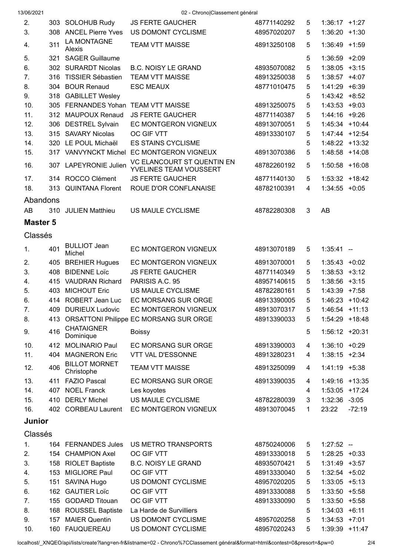| 2.              |     | 303 SOLOHUB Rudy                    | <b>JS FERTE GAUCHER</b>                              | 48771140292 | 5 | $1:36:17$ +1:27  |          |
|-----------------|-----|-------------------------------------|------------------------------------------------------|-------------|---|------------------|----------|
| 3.              |     | 308 ANCEL Pierre Yves               | US DOMONT CYCLISME                                   | 48957020207 | 5 | $1:36:20 +1:30$  |          |
| 4.              | 311 | LA MONTAGNE<br>Alexis               | <b>TEAM VTT MAISSE</b>                               | 48913250108 | 5 | $1:36:49$ +1:59  |          |
| 5.              |     | 321 SAGER Guillaume                 |                                                      |             | 5 | $1:36:59$ +2:09  |          |
| 6.              |     | 302 SURARDT Nicolas                 | <b>B.C. NOISY LE GRAND</b>                           | 48935070082 | 5 | $1:38:05$ +3:15  |          |
| 7 <sub>1</sub>  |     | 316 TISSIER Sébastien               | <b>TEAM VTT MAISSE</b>                               | 48913250038 | 5 | $1:38:57$ +4:07  |          |
| 8.              |     | 304 BOUR Renaud                     | <b>ESC MEAUX</b>                                     | 48771010475 | 5 | 1:41:29 +6:39    |          |
| 9.              |     | 318 GABILLET Wesley                 |                                                      |             | 5 | $1:43:42 +8:52$  |          |
| 10.             |     | 305 FERNANDES Yohan TEAM VTT MAISSE |                                                      | 48913250075 | 5 | $1:43:53 +9:03$  |          |
| 11.             |     | 312 MAUPOUX Renaud                  | <b>JS FERTE GAUCHER</b>                              | 48771140387 | 5 | 1:44:16 +9:26    |          |
| 12.             |     | 306 DESTREL Sylvain                 | EC MONTGERON VIGNEUX                                 | 48913070051 | 5 | 1:45:34 +10:44   |          |
| 13.             |     | 315 SAVARY Nicolas                  | OC GIF VTT                                           | 48913330107 | 5 | 1:47:44 +12:54   |          |
| 14.             |     | 320 LE POUL Michaël                 | <b>ES STAINS CYCLISME</b>                            |             | 5 | 1:48:22 +13:32   |          |
| 15.             |     | 317 VANVYNCKT Michel                | EC MONTGERON VIGNEUX                                 | 48913070386 | 5 | 1:48:58 +14:08   |          |
| 16.             |     | 307 LAPEYRONIE Julien               | VC ELANCOURT ST QUENTIN EN<br>YVELINES TEAM VOUSSERT | 48782260192 | 5 | 1:50:58 +16:08   |          |
| 17.             |     | 314 ROCCO Clément                   | <b>JS FERTE GAUCHER</b>                              | 48771140130 | 5 | $1:53:32 +18:42$ |          |
| 18.             |     | 313 QUINTANA Florent                | ROUE D'OR CONFLANAISE                                | 48782100391 | 4 | $1:34:55 + 0:05$ |          |
| Abandons        |     |                                     |                                                      |             |   |                  |          |
| AB              |     | 310 JULIEN Matthieu                 | US MAULE CYCLISME                                    | 48782280308 | 3 | AB               |          |
|                 |     |                                     |                                                      |             |   |                  |          |
| <b>Master 5</b> |     |                                     |                                                      |             |   |                  |          |
| Classés         |     |                                     |                                                      |             |   |                  |          |
| 1.              | 401 | <b>BULLIOT Jean</b><br>Michel       | EC MONTGERON VIGNEUX                                 | 48913070189 | 5 | $1:35:41 -$      |          |
| 2.              |     | 405 BREHIER Hugues                  | EC MONTGERON VIGNEUX                                 | 48913070001 | 5 | $1:35:43 +0:02$  |          |
| 3.              |     | 408 BIDENNE Loïc                    | <b>JS FERTE GAUCHER</b>                              | 48771140349 | 5 | $1:38:53 +3:12$  |          |
| 4.              |     | 415 VAUDRAN Richard                 | PARISIS A.C. 95                                      | 48957140615 | 5 | $1:38:56$ +3:15  |          |
| 5.              | 403 | <b>MICHOUT Eric</b>                 | US MAULE CYCLISME                                    | 48782280161 | 5 | $1:43:39$ +7:58  |          |
| 6.              |     | 414 ROBERT Jean Luc                 | EC MORSANG SUR ORGE                                  | 48913390005 | 5 | 1:46:23 +10:42   |          |
| 7.              |     | 409 DURIEUX Ludovic                 | EC MONTGERON VIGNEUX                                 | 48913070317 | 5 | $1:46:54$ +11:13 |          |
| 8.              |     |                                     | 413 ORSATTONI Philippe EC MORSANG SUR ORGE           | 48913390033 | 5 | 1:54:29 +18:48   |          |
| 9.              | 416 | <b>CHATAIGNER</b><br>Dominique      | <b>Boissy</b>                                        |             | 5 | 1:56:12 +20:31   |          |
| 10.             |     | 412 MOLINARIO Paul                  | EC MORSANG SUR ORGE                                  | 48913390003 | 4 | $1:36:10 + 0:29$ |          |
| 11.             | 404 | <b>MAGNERON Eric</b>                | <b>VTT VAL D'ESSONNE</b>                             | 48913280231 | 4 | $1:38:15$ +2:34  |          |
| 12.             | 406 | <b>BILLOT MORNET</b><br>Christophe  | <b>TEAM VTT MAISSE</b>                               | 48913250099 | 4 | $1:41:19$ +5:38  |          |
| 13.             |     | 411 FAZIO Pascal                    | EC MORSANG SUR ORGE                                  | 48913390035 | 4 | 1:49:16 +13:35   |          |
| 14.             |     | 407 NOEL Franck                     | Les koyotes                                          |             | 4 | 1:53:05 +17:24   |          |
| 15.             |     | 410 DERLY Michel                    | US MAULE CYCLISME                                    | 48782280039 | 3 | 1:32:36 -3:05    |          |
| 16.             |     | 402 CORBEAU Laurent                 | EC MONTGERON VIGNEUX                                 | 48913070045 | 1 | 23:22            | $-72:19$ |
| Junior          |     |                                     |                                                      |             |   |                  |          |
| Classés         |     |                                     |                                                      |             |   |                  |          |
| 1.              |     | 164 FERNANDES Jules                 | US METRO TRANSPORTS                                  | 48750240006 | 5 | $1:27:52 -$      |          |
| 2.              |     | 154 CHAMPION Axel                   | OC GIF VTT                                           | 48913330018 | 5 | $1:28:25 +0:33$  |          |
| 3.              |     | 158 RIOLET Baptiste                 | <b>B.C. NOISY LE GRAND</b>                           | 48935070421 | 5 | $1:31:49$ +3:57  |          |
|                 |     | 153 MIGLIORE Paul                   | OC GIF VTT                                           | 48913330040 | 5 | $1:32:54$ +5:02  |          |
| 4.<br>5.        | 151 | SAVINA Hugo                         | US DOMONT CYCLISME                                   | 48957020205 | 5 | $1:33:05$ +5:13  |          |
| 6.              |     | 162 GAUTIER Loïc                    | OC GIF VTT                                           | 48913330088 | 5 | 1:33:50 +5:58    |          |
| 7.              | 155 | <b>GODARD Titouan</b>               | OC GIF VTT                                           | 48913330090 | 5 | 1:33:50 +5:58    |          |
| 8.              |     | 168 ROUSSEL Baptiste                | La Harde de Survilliers                              |             | 5 | $1:34:03$ +6:11  |          |
| 9.              | 157 | <b>MAIER Quentin</b>                | US DOMONT CYCLISME                                   | 48957020258 | 5 | 1:34:53          | $+7:01$  |
| 10.             |     | 160 FAUQUEREAU                      | US DOMONT CYCLISME                                   | 48957020243 | 5 | 1:39:39 +11:47   |          |
|                 |     |                                     |                                                      |             |   |                  |          |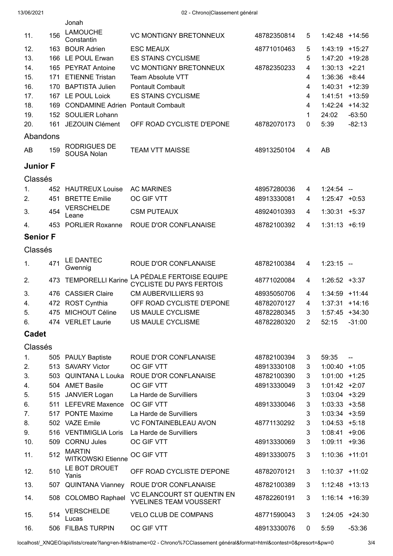|                 |      | Jonah                                     |                                                              |             |   |                   |                |
|-----------------|------|-------------------------------------------|--------------------------------------------------------------|-------------|---|-------------------|----------------|
| 11.             | 156  | <b>LAMOUCHE</b><br>Constantin             | <b>VC MONTIGNY BRETONNEUX</b>                                | 48782350814 | 5 | $1:42:48$ +14:56  |                |
| 12.             |      | 163 BOUR Adrien                           | <b>ESC MEAUX</b>                                             | 48771010463 | 5 | 1:43:19 +15:27    |                |
| 13.             |      | 166 LE POUL Erwan                         | <b>ES STAINS CYCLISME</b>                                    |             | 5 | 1:47:20 +19:28    |                |
| 14.             | 165  | <b>PEYRAT Antoine</b>                     | <b>VC MONTIGNY BRETONNEUX</b>                                | 48782350233 | 4 | 1:30:13           | $+2:21$        |
| 15.             | 171  | <b>ETIENNE Tristan</b>                    | <b>Team Absolute VTT</b>                                     |             | 4 | $1:36:36$ +8:44   |                |
| 16.             | 170  | <b>BAPTISTA Julien</b>                    | <b>Pontault Combault</b>                                     |             | 4 | 1:40:31           | $+12:39$       |
| 17.             |      | 167 LE POUL Loick                         | <b>ES STAINS CYCLISME</b>                                    |             | 4 | 1:41:51 +13:59    |                |
| 18.             | 169  | <b>CONDAMINE Adrien Pontault Combault</b> |                                                              |             | 4 | 1:42:24           | $+14:32$       |
| 19.             |      | 152 SOULIER Lohann                        |                                                              |             | 1 | 24:02             | $-63:50$       |
| 20.             | 161  | JEZOUIN Clément                           | OFF ROAD CYCLISTE D'EPONE                                    | 48782070173 | 0 | 5:39              | $-82:13$       |
| Abandons        |      |                                           |                                                              |             |   |                   |                |
|                 |      | <b>RODRIGUES DE</b>                       |                                                              |             |   |                   |                |
| AB              | 159  | <b>SOUSA Nolan</b>                        | <b>TEAM VTT MAISSE</b>                                       | 48913250104 | 4 | AB                |                |
| <b>Junior F</b> |      |                                           |                                                              |             |   |                   |                |
|                 |      |                                           |                                                              |             |   |                   |                |
| Classés         |      |                                           |                                                              |             |   |                   |                |
| 1.              |      | 452 HAUTREUX Louise                       | <b>AC MARINES</b>                                            | 48957280036 | 4 | $1:24:54 -$       |                |
| 2.              | 451  | <b>BRETTE Emilie</b>                      | OC GIF VTT                                                   | 48913330081 | 4 | $1:25:47 +0:53$   |                |
| 3.              | 454  | <b>VERSCHELDE</b><br>Leane                | <b>CSM PUTEAUX</b>                                           | 48924010393 | 4 | $1:30:31 + 5:37$  |                |
| 4.              |      | 453 PORLIER Roxanne                       | ROUE D'OR CONFLANAISE                                        | 48782100392 | 4 | $1:31:13 + 6:19$  |                |
| <b>Senior F</b> |      |                                           |                                                              |             |   |                   |                |
|                 |      |                                           |                                                              |             |   |                   |                |
| Classés         |      |                                           |                                                              |             |   |                   |                |
| 1.              | 471  | LE DANTEC<br>Gwennig                      | ROUE D'OR CONFLANAISE                                        | 48782100384 | 4 | $1:23:15 -$       |                |
| 2.              | 473  | <b>TEMPORELLI Karine</b>                  | LA PÉDALE FERTOISE EQUIPE<br><b>CYCLISTE DU PAYS FERTOIS</b> | 48771020084 | 4 | $1:26:52 +3:37$   |                |
| 3.              | 476. | <b>CASSIER Claire</b>                     | <b>CM AUBERVILLIERS 93</b>                                   | 48935050706 | 4 | $1:34:59$ +11:44  |                |
| 4.              |      | 472 ROST Cynthia                          | OFF ROAD CYCLISTE D'EPONE                                    | 48782070127 | 4 | $1:37:31 + 14:16$ |                |
| 5.              |      | 475 MICHOUT Céline                        | US MAULE CYCLISME                                            | 48782280345 | 3 | $1:57:45$ +34:30  |                |
| 6.              |      | 474 VERLET Laurie                         | US MAULE CYCLISME                                            | 48782280320 | 2 | 52:15             | $-31:00$       |
| <b>Cadet</b>    |      |                                           |                                                              |             |   |                   |                |
|                 |      |                                           |                                                              |             |   |                   |                |
| Classés         |      |                                           |                                                              |             |   |                   |                |
| 1.              |      | 505 PAULY Baptiste                        | ROUE D'OR CONFLANAISE                                        | 48782100394 | 3 | 59:35             | $\overline{a}$ |
| 2.              |      | 513 SAVARY Victor                         | OC GIF VTT                                                   | 48913330108 | 3 | $1:00:40 +1:05$   |                |
| 3.              |      |                                           | 503 QUINTANA L Louka ROUE D'OR CONFLANAISE                   | 48782100390 | 3 | $1:01:00$ +1:25   |                |
| 4.              |      | 504 AMET Basile                           | OC GIF VTT                                                   | 48913330049 | 3 | $1:01:42 +2:07$   |                |
| 5.              |      | 515 JANVIER Logan                         | La Harde de Survilliers                                      |             | 3 | $1:03:04$ +3:29   |                |
| 6.              |      | 511 LEFEVRE Maxence                       | OC GIF VTT                                                   | 48913330046 | 3 | $1:03:33 +3:58$   |                |
| 7.              |      | 517 PONTE Maxime                          | La Harde de Survilliers                                      |             | 3 | $1:03:34$ +3:59   |                |
| 8.              |      | 502 VAZE Emile                            | <b>VC FONTAINEBLEAU AVON</b>                                 | 48771130292 | 3 | $1:04:53 +5:18$   |                |
| 9.              |      | 516 VENTIMIGLIA Loris                     | La Harde de Survilliers                                      |             | 3 | $1:08:41 +9:06$   |                |
| 10.             |      | 509 CORNU Jules                           | OC GIF VTT                                                   | 48913330069 | 3 | 1:09:11           | $+9:36$        |
| 11.             | 512  | <b>MARTIN</b><br><b>WITKOWSKI Etienne</b> | OC GIF VTT                                                   | 48913330075 | 3 | 1:10:36 +11:01    |                |
| 12.             | 510  | LE BOT DROUET<br>Yanis                    | OFF ROAD CYCLISTE D'EPONE                                    | 48782070121 | 3 | $1:10:37$ +11:02  |                |
| 13.             |      | 507 QUINTANA Vianney                      | ROUE D'OR CONFLANAISE                                        | 48782100389 | 3 | $1:12:48$ +13:13  |                |
| 14.             |      | 508 COLOMBO Raphael                       | VC ELANCOURT ST QUENTIN EN<br>YVELINES TEAM VOUSSERT         | 48782260191 | 3 | $1:16:14$ +16:39  |                |
| 15.             | 514  | <b>VERSCHELDE</b><br>Lucas                | <b>VELO CLUB DE COMPANS</b>                                  | 48771590043 | 3 | $1:24:05$ +24:30  |                |
| 16.             |      | 506 FILBAS TURPIN                         | OC GIF VTT                                                   | 48913330076 | 0 | 5:59              | $-53:36$       |
|                 |      |                                           |                                                              |             |   |                   |                |